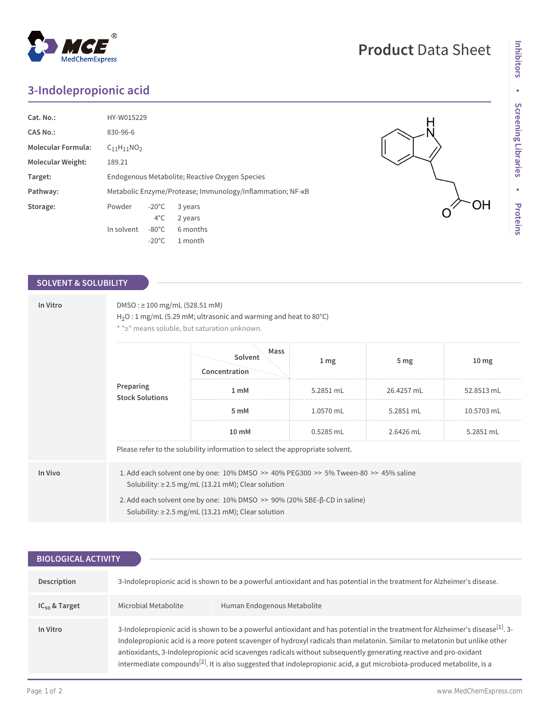## **3-Indolepropionic acid**

| Cat. No.:                 | HY-W015229                                                |                 |          |
|---------------------------|-----------------------------------------------------------|-----------------|----------|
| CAS No.:                  | 830-96-6                                                  |                 |          |
| <b>Molecular Formula:</b> | $C_{11}H_{11}NO_2$                                        |                 |          |
| <b>Molecular Weight:</b>  | 189.21                                                    |                 |          |
| Target:                   | Endogenous Metabolite; Reactive Oxygen Species            |                 |          |
| Pathway:                  | Metabolic Enzyme/Protease; Immunology/Inflammation; NF-KB |                 |          |
| Storage:                  | Powder                                                    | $-20^{\circ}$ C | 3 years  |
|                           |                                                           | $4^{\circ}$ C   | 2 years  |
|                           | In solvent                                                | $-80^{\circ}$ C | 6 months |
|                           |                                                           | $-20^{\circ}$ C | 1 month  |

## **SOLVENT & SOLUBILITY**

| In Vitro                            | $DMSO: \geq 100$ mg/mL (528.51 mM)<br>$H_2O:1$ mg/mL (5.29 mM; ultrasonic and warming and heat to 80°C)<br>* ">" means soluble, but saturation unknown.                                                                                                                               |                                  |                 |                 |                  |  |  |
|-------------------------------------|---------------------------------------------------------------------------------------------------------------------------------------------------------------------------------------------------------------------------------------------------------------------------------------|----------------------------------|-----------------|-----------------|------------------|--|--|
| Preparing<br><b>Stock Solutions</b> |                                                                                                                                                                                                                                                                                       | Mass<br>Solvent<br>Concentration | 1 <sub>mg</sub> | 5 <sub>mg</sub> | 10 <sub>mg</sub> |  |  |
|                                     | 1 <sub>mM</sub>                                                                                                                                                                                                                                                                       | 5.2851 mL                        | 26.4257 mL      | 52.8513 mL      |                  |  |  |
|                                     |                                                                                                                                                                                                                                                                                       | 5 mM                             | 1.0570 mL       | 5.2851 mL       | 10.5703 mL       |  |  |
|                                     | 10 mM                                                                                                                                                                                                                                                                                 | $0.5285$ mL                      | 2.6426 mL       | 5.2851 mL       |                  |  |  |
|                                     | Please refer to the solubility information to select the appropriate solvent.                                                                                                                                                                                                         |                                  |                 |                 |                  |  |  |
| In Vivo                             | 1. Add each solvent one by one: 10% DMSO >> 40% PEG300 >> 5% Tween-80 >> 45% saline<br>Solubility: $\geq$ 2.5 mg/mL (13.21 mM); Clear solution<br>2. Add each solvent one by one: 10% DMSO >> 90% (20% SBE-β-CD in saline)<br>Solubility: $\geq$ 2.5 mg/mL (13.21 mM); Clear solution |                                  |                 |                 |                  |  |  |

| <b>BIOLOGICAL ACTIVITY</b> |                                                                                                                                                                                                                                                                                                                                                                                                                                                                                                                                      |                             |  |  |  |
|----------------------------|--------------------------------------------------------------------------------------------------------------------------------------------------------------------------------------------------------------------------------------------------------------------------------------------------------------------------------------------------------------------------------------------------------------------------------------------------------------------------------------------------------------------------------------|-----------------------------|--|--|--|
| Description                | 3-Indolepropionic acid is shown to be a powerful antioxidant and has potential in the treatment for Alzheimer's disease.                                                                                                                                                                                                                                                                                                                                                                                                             |                             |  |  |  |
| $IC_{50}$ & Target         | Microbial Metabolite                                                                                                                                                                                                                                                                                                                                                                                                                                                                                                                 | Human Endogenous Metabolite |  |  |  |
| In Vitro                   | 3-Indolepropionic acid is shown to be a powerful antioxidant and has potential in the treatment for Alzheimer's disease <sup>[1]</sup> . 3-<br>Indolepropionic acid is a more potent scavenger of hydroxyl radicals than melatonin. Similar to melatonin but unlike other<br>antioxidants, 3-Indolepropionic acid scavenges radicals without subsequently generating reactive and pro-oxidant<br>intermediate compounds <sup>[2]</sup> . It is also suggested that indole propionic acid, a gut microbiota-produced metabolite, is a |                             |  |  |  |



## **Product** Data Sheet

H

O

OH